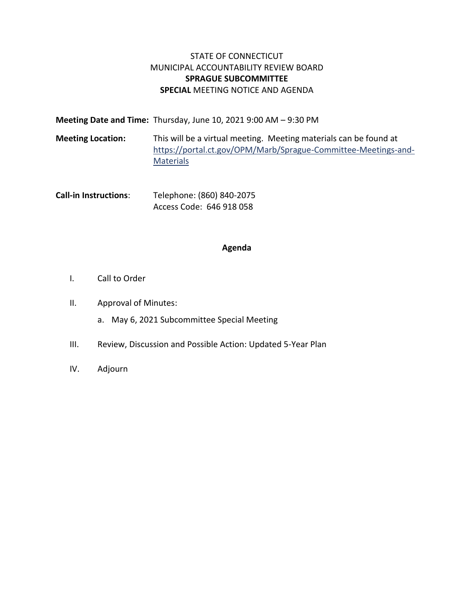# STATE OF CONNECTICUT MUNICIPAL ACCOUNTABILITY REVIEW BOARD **SPRAGUE SUBCOMMITTEE SPECIAL** MEETING NOTICE AND AGENDA

|                          | Meeting Date and Time: Thursday, June 10, 2021 9:00 AM - 9:30 PM                                                                                        |
|--------------------------|---------------------------------------------------------------------------------------------------------------------------------------------------------|
| <b>Meeting Location:</b> | This will be a virtual meeting. Meeting materials can be found at<br>https://portal.ct.gov/OPM/Marb/Sprague-Committee-Meetings-and-<br><b>Materials</b> |

**Call-in Instructions**: Telephone: (860) 840-2075 Access Code: 646 918 058

## **Agenda**

- I. Call to Order
- II. Approval of Minutes:
	- a. May 6, 2021 Subcommittee Special Meeting
- III. Review, Discussion and Possible Action: Updated 5-Year Plan
- IV. Adjourn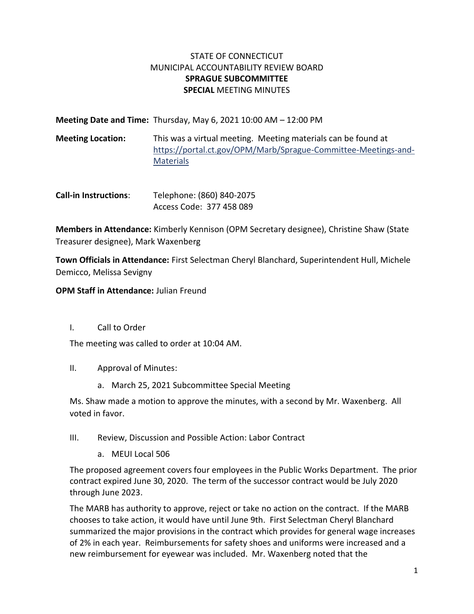# STATE OF CONNECTICUT MUNICIPAL ACCOUNTABILITY REVIEW BOARD **SPRAGUE SUBCOMMITTEE SPECIAL** MEETING MINUTES

## **Meeting Date and Time:** Thursday, May 6, 2021 10:00 AM – 12:00 PM

**Meeting Location:** This was a virtual meeting. Meeting materials can be found at [https://portal.ct.gov/OPM/Marb/Sprague-Committee-Meetings-and-](https://portal.ct.gov/OPM/Marb/Sprague-Committee-Meetings-and-Materials)**[Materials](https://portal.ct.gov/OPM/Marb/Sprague-Committee-Meetings-and-Materials)** 

| <b>Call-in Instructions:</b> | Telephone: (860) 840-2075 |
|------------------------------|---------------------------|
|                              | Access Code: 377 458 089  |

**Members in Attendance:** Kimberly Kennison (OPM Secretary designee), Christine Shaw (State Treasurer designee), Mark Waxenberg

**Town Officials in Attendance:** First Selectman Cheryl Blanchard, Superintendent Hull, Michele Demicco, Melissa Sevigny

## **OPM Staff in Attendance:** Julian Freund

I. Call to Order

The meeting was called to order at 10:04 AM.

- II. Approval of Minutes:
	- a. March 25, 2021 Subcommittee Special Meeting

Ms. Shaw made a motion to approve the minutes, with a second by Mr. Waxenberg. All voted in favor.

III. Review, Discussion and Possible Action: Labor Contract

a. MEUI Local 506

The proposed agreement covers four employees in the Public Works Department. The prior contract expired June 30, 2020. The term of the successor contract would be July 2020 through June 2023.

The MARB has authority to approve, reject or take no action on the contract. If the MARB chooses to take action, it would have until June 9th. First Selectman Cheryl Blanchard summarized the major provisions in the contract which provides for general wage increases of 2% in each year. Reimbursements for safety shoes and uniforms were increased and a new reimbursement for eyewear was included. Mr. Waxenberg noted that the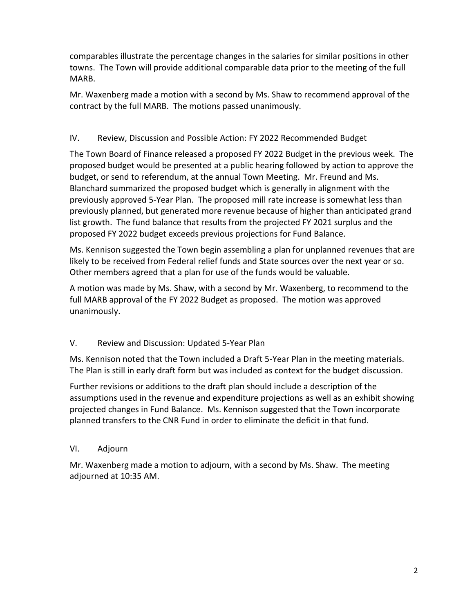comparables illustrate the percentage changes in the salaries for similar positions in other towns. The Town will provide additional comparable data prior to the meeting of the full MARB.

Mr. Waxenberg made a motion with a second by Ms. Shaw to recommend approval of the contract by the full MARB. The motions passed unanimously.

# IV. Review, Discussion and Possible Action: FY 2022 Recommended Budget

The Town Board of Finance released a proposed FY 2022 Budget in the previous week. The proposed budget would be presented at a public hearing followed by action to approve the budget, or send to referendum, at the annual Town Meeting. Mr. Freund and Ms. Blanchard summarized the proposed budget which is generally in alignment with the previously approved 5-Year Plan. The proposed mill rate increase is somewhat less than previously planned, but generated more revenue because of higher than anticipated grand list growth. The fund balance that results from the projected FY 2021 surplus and the proposed FY 2022 budget exceeds previous projections for Fund Balance.

Ms. Kennison suggested the Town begin assembling a plan for unplanned revenues that are likely to be received from Federal relief funds and State sources over the next year or so. Other members agreed that a plan for use of the funds would be valuable.

A motion was made by Ms. Shaw, with a second by Mr. Waxenberg, to recommend to the full MARB approval of the FY 2022 Budget as proposed. The motion was approved unanimously.

# V. Review and Discussion: Updated 5-Year Plan

Ms. Kennison noted that the Town included a Draft 5-Year Plan in the meeting materials. The Plan is still in early draft form but was included as context for the budget discussion.

Further revisions or additions to the draft plan should include a description of the assumptions used in the revenue and expenditure projections as well as an exhibit showing projected changes in Fund Balance. Ms. Kennison suggested that the Town incorporate planned transfers to the CNR Fund in order to eliminate the deficit in that fund.

# VI. Adjourn

Mr. Waxenberg made a motion to adjourn, with a second by Ms. Shaw. The meeting adjourned at 10:35 AM.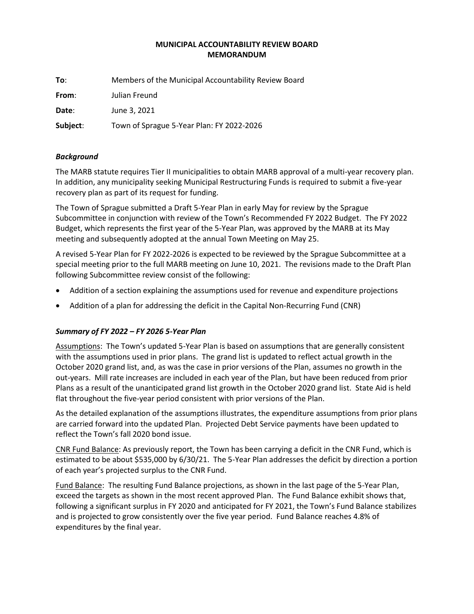## **MUNICIPAL ACCOUNTABILITY REVIEW BOARD MEMORANDUM**

**To**: Members of the Municipal Accountability Review Board

**From**: Julian Freund

**Date**: June 3, 2021

**Subject**: Town of Sprague 5-Year Plan: FY 2022-2026

## *Background*

The MARB statute requires Tier II municipalities to obtain MARB approval of a multi-year recovery plan. In addition, any municipality seeking Municipal Restructuring Funds is required to submit a five-year recovery plan as part of its request for funding.

The Town of Sprague submitted a Draft 5-Year Plan in early May for review by the Sprague Subcommittee in conjunction with review of the Town's Recommended FY 2022 Budget. The FY 2022 Budget, which represents the first year of the 5-Year Plan, was approved by the MARB at its May meeting and subsequently adopted at the annual Town Meeting on May 25.

A revised 5-Year Plan for FY 2022-2026 is expected to be reviewed by the Sprague Subcommittee at a special meeting prior to the full MARB meeting on June 10, 2021. The revisions made to the Draft Plan following Subcommittee review consist of the following:

- Addition of a section explaining the assumptions used for revenue and expenditure projections
- Addition of a plan for addressing the deficit in the Capital Non-Recurring Fund (CNR)

## *Summary of FY 2022 – FY 2026 5-Year Plan*

Assumptions: The Town's updated 5-Year Plan is based on assumptions that are generally consistent with the assumptions used in prior plans. The grand list is updated to reflect actual growth in the October 2020 grand list, and, as was the case in prior versions of the Plan, assumes no growth in the out-years. Mill rate increases are included in each year of the Plan, but have been reduced from prior Plans as a result of the unanticipated grand list growth in the October 2020 grand list. State Aid is held flat throughout the five-year period consistent with prior versions of the Plan.

As the detailed explanation of the assumptions illustrates, the expenditure assumptions from prior plans are carried forward into the updated Plan. Projected Debt Service payments have been updated to reflect the Town's fall 2020 bond issue.

CNR Fund Balance: As previously report, the Town has been carrying a deficit in the CNR Fund, which is estimated to be about \$535,000 by 6/30/21. The 5-Year Plan addresses the deficit by direction a portion of each year's projected surplus to the CNR Fund.

Fund Balance: The resulting Fund Balance projections, as shown in the last page of the 5-Year Plan, exceed the targets as shown in the most recent approved Plan. The Fund Balance exhibit shows that, following a significant surplus in FY 2020 and anticipated for FY 2021, the Town's Fund Balance stabilizes and is projected to grow consistently over the five year period. Fund Balance reaches 4.8% of expenditures by the final year.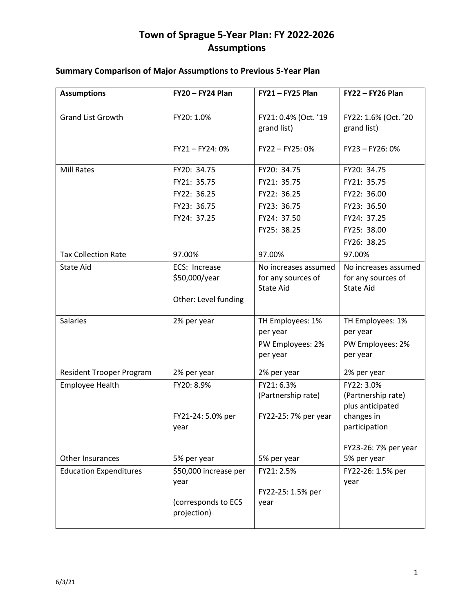| <b>Assumptions</b>              | <b>FY20 - FY24 Plan</b>            | <b>FY21-FY25 Plan</b>               | <b>FY22 - FY26 Plan</b>             |
|---------------------------------|------------------------------------|-------------------------------------|-------------------------------------|
| <b>Grand List Growth</b>        | FY20: 1.0%                         | FY21: 0.4% (Oct. '19<br>grand list) | FY22: 1.6% (Oct. '20<br>grand list) |
|                                 | $FY21 - FY24:0%$                   | $FY22 - FY25:0%$                    | FY23-FY26:0%                        |
| <b>Mill Rates</b>               | FY20: 34.75                        | FY20: 34.75                         | FY20: 34.75                         |
|                                 | FY21: 35.75                        | FY21: 35.75                         | FY21: 35.75                         |
|                                 | FY22: 36.25                        | FY22: 36.25                         | FY22: 36.00                         |
|                                 | FY23: 36.75                        | FY23: 36.75                         | FY23: 36.50                         |
|                                 | FY24: 37.25                        | FY24: 37.50                         | FY24: 37.25                         |
|                                 |                                    | FY25: 38.25                         | FY25: 38.00                         |
|                                 |                                    |                                     | FY26: 38.25                         |
| <b>Tax Collection Rate</b>      | 97.00%                             | 97.00%                              | 97.00%                              |
| <b>State Aid</b>                | ECS: Increase                      | No increases assumed                | No increases assumed                |
|                                 | \$50,000/year                      | for any sources of                  | for any sources of                  |
|                                 |                                    | <b>State Aid</b>                    | <b>State Aid</b>                    |
|                                 | Other: Level funding               |                                     |                                     |
| <b>Salaries</b>                 | 2% per year                        | TH Employees: 1%                    | TH Employees: 1%                    |
|                                 |                                    | per year                            | per year                            |
|                                 |                                    | PW Employees: 2%                    | PW Employees: 2%                    |
|                                 |                                    | per year                            | per year                            |
| <b>Resident Trooper Program</b> | 2% per year                        | 2% per year                         | 2% per year                         |
| <b>Employee Health</b>          | FY20: 8.9%                         | FY21: 6.3%                          | FY22: 3.0%                          |
|                                 |                                    | (Partnership rate)                  | (Partnership rate)                  |
|                                 |                                    |                                     | plus anticipated                    |
|                                 | FY21-24: 5.0% per                  | FY22-25: 7% per year                | changes in<br>participation         |
|                                 | year                               |                                     |                                     |
|                                 |                                    |                                     | FY23-26: 7% per year                |
| Other Insurances                | 5% per year                        | 5% per year                         | 5% per year                         |
| <b>Education Expenditures</b>   | \$50,000 increase per              | FY21: 2.5%                          | FY22-26: 1.5% per                   |
|                                 | year                               |                                     | year                                |
|                                 |                                    | FY22-25: 1.5% per                   |                                     |
|                                 | (corresponds to ECS<br>projection) | year                                |                                     |
|                                 |                                    |                                     |                                     |

# **Summary Comparison of Major Assumptions to Previous 5-Year Plan**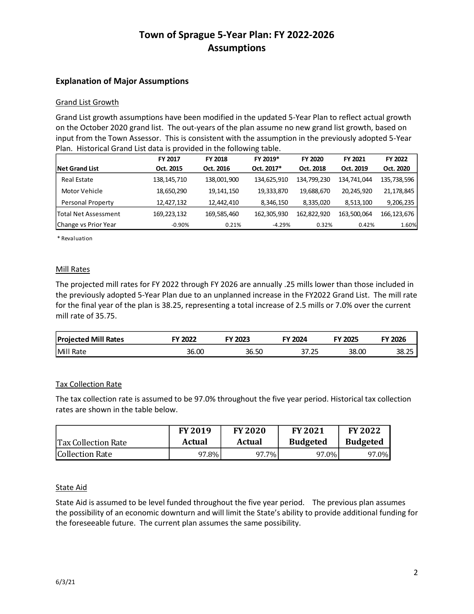## **Explanation of Major Assumptions**

## Grand List Growth

Grand List growth assumptions have been modified in the updated 5-Year Plan to reflect actual growth on the October 2020 grand list. The out-years of the plan assume no new grand list growth, based on input from the Town Assessor. This is consistent with the assumption in the previously adopted 5-Year Plan. Historical Grand List data is provided in the following table.

|                             | FY 2017     | <b>FY 2018</b> | FY 2019*    | FY 2020     | FY 2021     | FY 2022     |
|-----------------------------|-------------|----------------|-------------|-------------|-------------|-------------|
| <b>Net Grand List</b>       | Oct. 2015   | Oct. 2016      | Oct. 2017*  | Oct. 2018   | Oct. 2019   | Oct. 2020   |
| <b>Real Estate</b>          | 138,145,710 | 138,001,900    | 134,625,910 | 134.799.230 | 134,741,044 | 135,738,596 |
| Motor Vehicle               | 18,650,290  | 19,141,150     | 19,333,870  | 19,688,670  | 20,245,920  | 21,178,845  |
| <b>Personal Property</b>    | 12,427,132  | 12,442,410     | 8,346,150   | 8,335,020   | 8,513,100   | 9,206,235   |
| <b>Total Net Assessment</b> | 169,223,132 | 169,585,460    | 162,305,930 | 162,822,920 | 163,500,064 | 166,123,676 |
| Change vs Prior Year        | $-0.90\%$   | 0.21%          | $-4.29%$    | 0.32%       | 0.42%       | 1.60%       |

\* Revaluation

### Mill Rates

The projected mill rates for FY 2022 through FY 2026 are annually .25 mills lower than those included in the previously adopted 5-Year Plan due to an unplanned increase in the FY2022 Grand List. The mill rate for the final year of the plan is 38.25, representing a total increase of 2.5 mills or 7.0% over the current mill rate of 35.75.

| <b>Projected Mill Rates</b> | <b>FY 2022</b> | TY 2023 | FY 2024 | FY 2025 | Y 2026 |
|-----------------------------|----------------|---------|---------|---------|--------|
| Mill Rate                   | 36.00          | 36.50   | 37.25   | 38.00   | 38.25  |

## Tax Collection Rate

The tax collection rate is assumed to be 97.0% throughout the five year period. Historical tax collection rates are shown in the table below.

| <b>Tax Collection Rate</b> | <b>FY 2019</b> | <b>FY 2020</b> | <b>FY 2021</b>  | <b>FY 2022</b>  |
|----------------------------|----------------|----------------|-----------------|-----------------|
|                            | Actual         | Actual         | <b>Budgeted</b> | <b>Budgeted</b> |
| <b>Collection Rate</b>     | 97.8%          | 97.7%          | $97.0\%$        | 97.0%           |

## **State Aid**

State Aid is assumed to be level funded throughout the five year period. The previous plan assumes the possibility of an economic downturn and will limit the State's ability to provide additional funding for the foreseeable future. The current plan assumes the same possibility.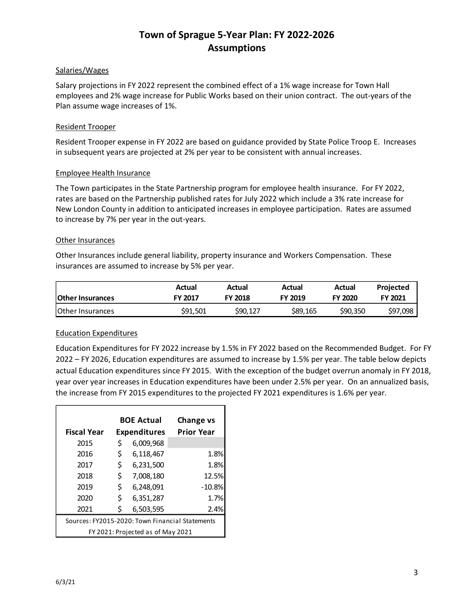## Salaries/Wages

Salary projections in FY 2022 represent the combined effect of a 1% wage increase for Town Hall employees and 2% wage increase for Public Works based on their union contract. The out-years of the Plan assume wage increases of 1%.

## Resident Trooper

Resident Trooper expense in FY 2022 are based on guidance provided by State Police Troop E. Increases in subsequent years are projected at 2% per year to be consistent with annual increases.

## Employee Health Insurance

The Town participates in the State Partnership program for employee health insurance. For FY 2022, rates are based on the Partnership published rates for July 2022 which include a 3% rate increase for New London County in addition to anticipated increases in employee participation. Rates are assumed to increase by 7% per year in the out-years.

## Other Insurances

Other Insurances include general liability, property insurance and Workers Compensation. These insurances are assumed to increase by 5% per year.

|                         | Actual   | Actual         | Actual         | Actual         | <b>Projected</b> |
|-------------------------|----------|----------------|----------------|----------------|------------------|
| <b>Other Insurances</b> | FY 2017  | <b>FY 2018</b> | <b>FY 2019</b> | <b>FY 2020</b> | <b>FY 2021</b>   |
| <b>Other Insurances</b> | \$91.501 | \$90.127       | \$89,165       | \$90,350       | \$97,098         |

## Education Expenditures

Education Expenditures for FY 2022 increase by 1.5% in FY 2022 based on the Recommended Budget. For FY 2022 – FY 2026, Education expenditures are assumed to increase by 1.5% per year. The table below depicts actual Education expenditures since FY 2015. With the exception of the budget overrun anomaly in FY 2018, year over year increases in Education expenditures have been under 2.5% per year. On an annualized basis, the increase from FY 2015 expenditures to the projected FY 2021 expenditures is 1.6% per year.

|                                                 |    | <b>BOE Actual</b>                 | Change vs         |  |  |  |  |
|-------------------------------------------------|----|-----------------------------------|-------------------|--|--|--|--|
| <b>Fiscal Year</b>                              |    | <b>Expenditures</b>               | <b>Prior Year</b> |  |  |  |  |
| 2015                                            | \$ | 6,009,968                         |                   |  |  |  |  |
| 2016                                            | \$ | 6,118,467                         | 1.8%              |  |  |  |  |
| 2017                                            | \$ | 6,231,500                         | 1.8%              |  |  |  |  |
| 2018                                            | \$ | 7,008,180                         | 12.5%             |  |  |  |  |
| 2019                                            | \$ | 6,248,091                         | $-10.8%$          |  |  |  |  |
| 2020                                            | \$ | 6,351,287                         | 1.7%              |  |  |  |  |
| 2021                                            | \$ | 6,503,595                         | 2.4%              |  |  |  |  |
| Sources: FY2015-2020: Town Financial Statements |    |                                   |                   |  |  |  |  |
|                                                 |    | FY 2021: Projected as of May 2021 |                   |  |  |  |  |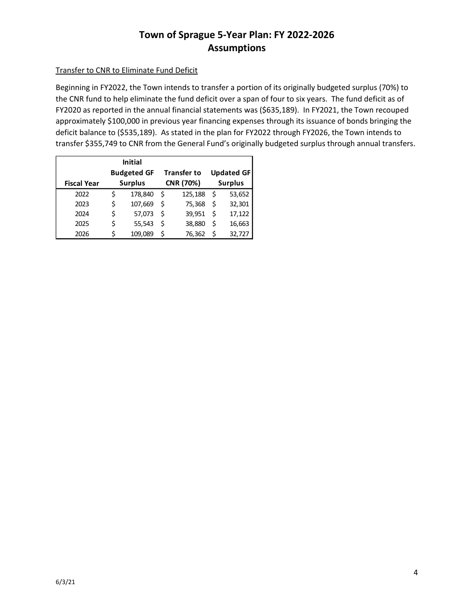## Transfer to CNR to Eliminate Fund Deficit

Beginning in FY2022, the Town intends to transfer a portion of its originally budgeted surplus (70%) to the CNR fund to help eliminate the fund deficit over a span of four to six years. The fund deficit as of FY2020 as reported in the annual financial statements was (\$635,189). In FY2021, the Town recouped approximately \$100,000 in previous year financing expenses through its issuance of bonds bringing the deficit balance to (\$535,189). As stated in the plan for FY2022 through FY2026, the Town intends to transfer \$355,749 to CNR from the General Fund's originally budgeted surplus through annual transfers.

|                    |                | <b>Initial</b>     |           |                    |                |            |
|--------------------|----------------|--------------------|-----------|--------------------|----------------|------------|
|                    |                | <b>Budgeted GF</b> |           | <b>Transfer to</b> |                | Updated GF |
| <b>Fiscal Year</b> | <b>Surplus</b> |                    | CNR (70%) |                    | <b>Surplus</b> |            |
| 2022               | \$             | 178,840            | Ŝ.        | 125,188            | \$             | 53,652     |
| 2023               | \$             | 107,669            | Ś         | 75,368             | Ś              | 32,301     |
| 2024               | \$             | 57,073             | Ś         | 39,951             | Ś              | 17,122     |
| 2025               | \$             | 55,543             | Ś         | 38,880             | \$             | 16,663     |
| 2026               |                | 109,089            | Ś         | 76,362             | ς              | 32,727     |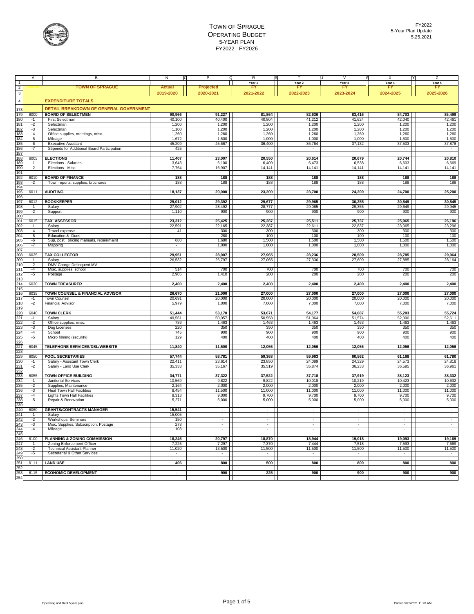

|                         |              | R                                           | N                        | P                        | R                        |                          | $\vee$                   | x                        | $\overline{z}$                |
|-------------------------|--------------|---------------------------------------------|--------------------------|--------------------------|--------------------------|--------------------------|--------------------------|--------------------------|-------------------------------|
| $\overline{1}$          |              |                                             |                          |                          | Year 1                   | Year 2                   | Year 3                   | Year 4                   | Year 5                        |
| $\overline{2}$          |              | <b>TOWN OF SPRAGUE</b>                      | Actua                    | Projected                | FY                       | F۲                       | F۱                       | FY                       | FY                            |
| $\overline{\mathbf{3}}$ |              |                                             | 2019-2020                | 2020-2021                | 2021-2022                | 2022-2023                | 2023-2024                | 2024-2025                | 2025-2026                     |
| $\overline{4}$          |              |                                             |                          |                          |                          |                          |                          |                          |                               |
|                         |              | <b>EXPENDITURE TOTALS</b>                   |                          |                          |                          |                          |                          |                          |                               |
| 178                     |              | DETAIL BREAKDOWN OF GENERAL GOVERNMENT      |                          |                          |                          |                          |                          |                          |                               |
| 179                     | 6000         | <b>BOARD OF SELECTMEN</b>                   | 90,966                   | 91,227                   | 81,864                   | 82,636                   | 83,416                   | 84,703                   | 85,499                        |
| 180                     | $-1$         | First Selectman                             | 40,100                   | 40,400                   | 40,804                   | 41,212                   | 41,624                   | 42,040                   | 42,461                        |
| 181                     | $-2$         | Selectman                                   | 1,200                    | 1,200                    | 1,200                    | 1,200                    | 1,200                    | 1,200                    | 1,200                         |
| 182                     | $-3$         | Selectman                                   | 1,100                    | 1,200                    | 1,200                    | 1,200                    | 1,200                    | 1,200                    | 1,200                         |
| 183                     | $-4$         | Office supplies, meetings, misc.            | 1,260                    | 1,260                    | 1,260                    | 1,260                    | 1,260                    | 1,260                    | 1,260                         |
| 184                     | $-5$         | Mileage                                     | 1.672                    | 1.500                    | 1.000                    | 1.000                    | 1.000                    | 1.500                    | 1,500                         |
| 185                     | -6           | <b>Executive Assistant</b>                  | 45,209                   | 45,667                   | 36,400                   | 36,764                   | 37,132                   | 37,503                   | 37,878                        |
|                         | $-7$         | Stipends for Additional Board Participation | 425                      |                          |                          |                          |                          |                          |                               |
| $\frac{186}{187}$       |              |                                             |                          |                          |                          |                          |                          |                          |                               |
| 188                     | 6005         | <b>ELECTIONS</b>                            | 11,407                   | 23,007                   | 20,550                   | 20,614                   | 20,679                   | 20,744                   | 20,810                        |
| 189                     | $-1$         | Elections - Salaries                        | 3,643                    | 6,100                    | 6,409                    | 6,473                    | 6,538                    | 6,603                    | 6,669                         |
| 190                     | $-2$         | Elections - Misc                            | 7,764                    | 16,907                   | 14,141                   | 14,141                   | 14,141                   | 14,141                   | 14,141                        |
| 191                     |              |                                             |                          |                          |                          |                          |                          |                          |                               |
| 192                     | 6010         | <b>BOARD OF FINANCE</b>                     | 188                      | 188                      | 188                      | 188                      | 188                      | 188                      | 188                           |
| 193                     | $-2$         | Town reports, supplies, brochures           | 188                      | 188                      | 188                      | 188                      | 188                      | 188                      | 188                           |
| 194                     |              |                                             |                          |                          |                          |                          |                          |                          |                               |
| 195                     | 6011         | <b>AUDITING</b>                             | 18,137                   | 20,000                   | 23,200                   | 23,700                   | 24,200                   | 24,700                   | 25,200                        |
| 196                     |              |                                             |                          |                          |                          |                          |                          |                          |                               |
| 197                     | 6012         | <b>BOOKKEEPER</b>                           | 29,012                   | 29,392                   | 29,677                   | 29,965                   | 30,255                   | 30,549                   | 30,845                        |
|                         | $-1$         | Salary                                      | 27,902                   | 28,492                   | 28.777                   | 29,065                   | 29,355                   | 29.649                   | 29,945                        |
| 198<br>199              | $-2$         | Support                                     | 1,110                    | 900                      | 900                      | 900                      | 900                      | 900                      | 900                           |
| 200                     |              |                                             |                          |                          |                          |                          |                          |                          |                               |
| 201                     | 6015         | <b>TAX ASSESSOR</b>                         | 23,312                   | 25,425                   | 25,287                   | 25,511                   | 25,737                   | 25,965                   | 26,196                        |
| 202                     | $-1$         | Salary                                      | 22,591                   | 22,165                   | 22,387                   | 22,611                   | 22,837                   | 23,065                   | 23,296                        |
| 203                     | $-4$         | Travel expense                              | 41                       | 300                      | 300                      | 300                      | 300                      | 300                      | 300                           |
| 204                     | $-5$         | Education & Dues                            |                          | 280                      | 100                      | 100                      | 100                      | 100                      | 100                           |
| 205                     | $-6$         | Sup, post., pricing manuals, repair/maint   | 680                      | 1,680                    | 1.500                    | 1.500                    | 1.500                    | 1.500                    | 1,500                         |
|                         | $-7$         | Mapping                                     |                          | 1,000                    | 1,000                    | 1,000                    | 1,000                    | 1,000                    | 1,000                         |
| 206<br>207              |              |                                             |                          |                          |                          |                          |                          |                          |                               |
| 208                     | 6025         | <b>TAX COLLECTOR</b>                        | 29,951                   | 28,907                   | 27,965                   | 28,236                   | 28,509                   | 28,785                   | 29,064                        |
| <b>209</b>              | $-1$         | Salary                                      | 26,532                   | 26,797                   | 27,065                   | 27,336                   | 27,609                   | 27,885                   | 28,164                        |
| 21C                     | $-2$         | DMV Charge Delinquent MV                    | $\sim$                   |                          |                          | $\overline{\phantom{a}}$ | $\sim$                   |                          | $\sim$                        |
| 211                     | $-4$         | Misc. supplies, school                      | 514                      | 700                      | 700                      | 700                      | 700                      | 700                      | 700                           |
| 212                     | $-5$         | Postage                                     | 2,905                    | 1,410                    | 200                      | 200                      | 200                      | 200                      | 200                           |
| 213                     |              |                                             |                          |                          |                          |                          |                          |                          |                               |
| 214                     | 6030         | <b>TOWN TREASURER</b>                       | 2,400                    | 2,400                    | 2,400                    | 2,400                    | 2,400                    | 2,400                    | 2,400                         |
| 215                     |              |                                             |                          |                          |                          |                          |                          |                          |                               |
| 216                     | 6035         | TOWN COUNSEL & FINANCIAL ADVISOR            | 26,670                   | 21,000                   | 27,000                   | 27,000                   | 27,000                   | 27,000                   | 27,000                        |
| 217                     | $-1$         | <b>Town Counsel</b>                         | 20,691                   | 20,000                   | 20,000                   | 20,000                   | 20,000                   | 20.000                   | 20,000                        |
| 218                     | $-2$         | <b>Financial Advisor</b>                    | 5,979                    | 1,000                    | 7,000                    | 7,000                    | 7,000                    | 7,000                    | 7,000                         |
| 21 <sup>c</sup>         |              |                                             |                          |                          |                          |                          |                          |                          |                               |
| 220<br>221              | 6040         | <b>TOWN CLERK</b>                           | 51,444                   | 53,170                   | 53,671                   | 54,177                   | 54,687                   | 55,203                   | 55,724                        |
|                         | $-1$         | Salary                                      | 49,561                   | 50,057                   | 50,558                   | 51,064                   | 51,574                   | 52,090                   | 52,611                        |
| 222                     | $-2$         | Office supplies, misc.                      | 789                      | 1,463                    | 1,463                    | 1,463                    | 1,463                    | 1,463                    | 1,463                         |
| 223                     | $-3$         | Dog Licenses                                | 220                      | 350                      | 350                      | 350                      | 350                      | 350                      | 350                           |
| 224                     | $-4$         | School                                      | 745                      | 900                      | 900                      | 900                      | 900                      | 900                      | 900                           |
| 225                     | $-5$         | Micro filming (security)                    | 129                      | 400                      | 400                      | 400                      | 400                      | 400                      | 400                           |
| 226                     |              |                                             |                          |                          |                          |                          |                          |                          |                               |
| 227                     | 6045         | TELEPHONE SERVICES/DSL/WEBSITE              | 11,840                   | 11,500                   | 12,056                   | 12,056                   | 12,056                   | 12,056                   | 12,056                        |
| 228                     |              |                                             |                          |                          |                          |                          |                          |                          |                               |
|                         | 6050         | <b>POOL SECRETARIES</b>                     | 57,744                   | 58,781                   | 59,368                   | 59,963                   | 60,562                   | 61,168                   | 61,780                        |
| 230                     | $-1$         | Salary - Assistant Town Clerk               | 22,411                   | 23,614                   | 23,850                   | 24,089                   | 24,329                   | 24,573                   | 24,818                        |
| 231                     | $-2$         | Salary - Land Use Clerk                     | 35,333                   | 35,167                   | 35,519                   | 35,874                   | 36,233                   | 36,595                   | 36,961                        |
| 232                     |              |                                             |                          |                          |                          |                          |                          |                          |                               |
| 233                     | 6055         | <b>TOWN OFFICE BUILDING</b>                 | 34,771                   | 37,322                   | 37,522                   | 37,718                   | 37,919                   | 38,123                   | 38,332                        |
| 234                     | $-1$         | Janitorial Services                         | 10,569                   | 9,822                    | 9,822                    | 10,018                   | 10,219                   | 10,423                   | 10,632                        |
| 235                     | $-2$         | Supplies, Maintenance                       | 2,164                    | 2,000                    | 2,000                    | 2,000                    | 2,000                    | 2,000                    | 2,000                         |
| 236                     | $-3$<br>$-4$ | <b>Heat Town Hall Facilities</b>            | 8,454                    | 11,500                   | 11,000                   | 11,000                   | 11,000                   | 11,000                   | 11,000                        |
| 237                     |              | <b>Lights Town Hall Facilities</b>          | 8,313                    | 9,000                    | 9,700                    | 9.700                    | 9,700                    | 9.700                    | 9,700                         |
| 238                     | $-5$         | Repair & Renovation                         | 5,271                    | 5,000                    | 5,000                    | 5,000                    | 5,000                    | 5,000                    | 5,000                         |
| 239<br>240              | 6060         |                                             |                          |                          |                          |                          |                          | $\blacksquare$           |                               |
|                         | $-1$         | <b>GRANTS/CONTRACTS MANAGER</b>             | 15,541                   | $\blacksquare$           | $\blacksquare$           | $\overline{\phantom{a}}$ | $\overline{\phantom{a}}$ |                          | $\blacksquare$                |
| 241                     |              | Salary                                      | 15,005                   |                          |                          | ٠                        |                          |                          | $\overline{\phantom{a}}$      |
| 242                     | $-2$         | Workshops, Seminars                         | 150                      | $\sim$                   | $\sim$                   | ÷.                       | $\sim$                   | ÷                        | $\overline{\phantom{a}}$<br>Ξ |
| 243<br>244              | $-3$<br>$-4$ | Misc. Supplies, Subscription, Postage       | 278                      |                          | $\overline{\phantom{a}}$ | $\overline{a}$           |                          | ÷                        | $\overline{\phantom{a}}$      |
| 245                     |              | Mileage                                     | 108                      |                          |                          |                          |                          |                          |                               |
| 246                     | 6100         | <b>PLANNING &amp; ZONING COMMISSION</b>     |                          | 20,797                   | 18,870                   | 18,944                   | 19,018                   | 19,093                   | 19,169                        |
| 247                     | $-1$         | Zoning Enforcement Officer                  | 18,245<br>7,225          | 7.297                    | 7,370                    | 7,444                    | 7,518                    | 7,593                    | 7,669                         |
| 248                     | $-2$         | <b>Technical Assistant-Planner</b>          | 11,020                   | 13,500                   | 11,500                   | 11,500                   | 11,500                   | 11,500                   | 11,500                        |
| 249                     | -5           | Secretarial & Other Services                | $\overline{\phantom{a}}$ | $\overline{\phantom{a}}$ | $\overline{\phantom{a}}$ | ٠                        |                          | $\overline{\phantom{a}}$ | $\sim$                        |
| 25C                     |              |                                             |                          |                          |                          |                          |                          |                          |                               |
| 251                     | 6111         | <b>LAND USE</b>                             | 406                      | 800                      | 500                      | 800                      | 800                      | 800                      | 800                           |
| 252                     |              |                                             |                          |                          |                          |                          |                          |                          |                               |
|                         | 6115         | <b>ECONOMIC DEVELOPMENT</b>                 |                          | 900                      | 225                      | 900                      | 900                      | 900                      | 900                           |
| 253<br>254              |              |                                             |                          |                          |                          |                          |                          |                          |                               |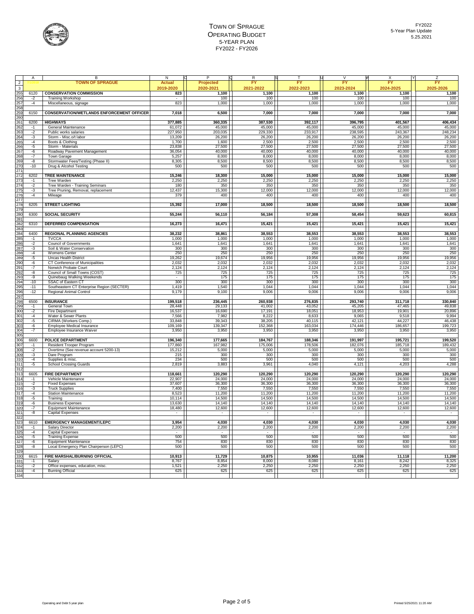

|                         |              | R                                                       | N               |                          | R               |                 |                 | x               | z               |
|-------------------------|--------------|---------------------------------------------------------|-----------------|--------------------------|-----------------|-----------------|-----------------|-----------------|-----------------|
| $\overline{2}$          |              | <b>TOWN OF SPRAGUE</b>                                  | Actua           | Projected                |                 | F١              |                 |                 |                 |
| $\overline{\mathbf{3}}$ |              |                                                         | 2019-2020       | 2020-2021                | 2021-2022       | 2022-2023       | 2023-2024       | 2024-2025       | 2025-2026       |
| 255                     | 6120         | <b>CONSERVATION COMMISSION</b>                          | 823             | 1,100                    | 1,100           | 1,100           | 1,100           | 1,100           | 1,100           |
| 256                     | $-2$         | <b>Training Workshop</b>                                |                 | 100                      | 100             | 100             | 100             | 100             | 100             |
| 257                     | $-4$         | Miscellaneous, signage                                  | 823             | 1,000                    | 1,000           | 1,000           | 1,000           | 1,000           | 1,000           |
| 258                     |              |                                                         |                 |                          |                 |                 |                 |                 |                 |
| 25 <sub>S</sub>         | 6150         | <b>CONSERVATION/WETLANDS ENFORCEMENT OFFICER</b>        | 7,018           | 6,500                    | 7,000           | 7,000           | 7,000           | 7,000           | 7,000           |
| 26                      |              |                                                         |                 |                          |                 |                 |                 |                 |                 |
| 261                     | 6200         | <b>HIGHWAYS</b>                                         | 377,885         | 360,335                  | 387,530         | 392,117         | 396,795         | 401,567         | 406,434         |
| 262                     | $-1$         | General Maintenance                                     | 61,072          | 45,000                   | 45,000          | 45,000          | 45,000          | 45,000          | 45,000          |
| 263                     | $-2$         | Public works salaries                                   | 227,950         | 203,035                  | 229,330         | 233,917         | 238,595         | 243,367         | 248,234         |
| 264                     | -3           | Storm - Misc.o/t labor                                  | 13,209          | 26,200                   | 26,200          | 26,200          | 26,200          | 26,200          | 26,200          |
| 265                     | $-4$         | Boots & Clothing                                        | 1,700           | 1,600                    | 2,500           | 2,500           | 2,500           | 2,500           | 2,500           |
| 266                     | $-5$         | Storm - Materials                                       | 23,838          | 27,500                   | 27,500          | 27,500          | 27,500          | 27,500          | 27,500          |
| 267                     | $-6$         | Roadway Pavement Management                             | 36,054          | 40,000                   | 40,000          | 40,000          | 40,000          | 40,000          | 40,000          |
| 268                     | $-7$         | Town Garage                                             | 5,257           | 8,000                    | 8,000           | 8,000           | 8,000           | 8,000           | 8,000           |
| 269                     | -8           | Stormwater Fees/Testing (Phase II)                      | 8,305           | 8,500                    | 8,500           | 8,500           | 8,500           | 8,500           | 8,500           |
| <b>270</b>              | $-10$        | Drug & Alcohol Testing                                  | 500             | 500                      | 500             | 500             | 500             | 500             | 500             |
| 271                     |              | <b>TREE MAINTENANCE</b>                                 |                 |                          |                 |                 |                 |                 |                 |
| 272<br>273              | 6202         | Tree Warden                                             | 15,246<br>2,250 | 18,300                   | 15,000<br>2.250 | 15,000          | 15,000<br>2.250 | 15,000<br>2.250 | 15,000<br>2,250 |
| 274                     | $-1$         | Tree Warden - Training Seminars                         |                 | 2.250                    |                 | 2.250           |                 |                 | 350             |
| 275                     | $-2$<br>$-3$ | Tree Pruning, Removal, replacement                      | 180<br>12,437   | 350<br>15,300            | 350<br>12,000   | 350<br>12,000   | 350<br>12,000   | 350<br>12,000   | 12,000          |
| 276                     | $-4$         | Mileage                                                 | 379             | 400                      | 400             | 400             | 400             | 400             | 400             |
| 27i                     |              |                                                         |                 |                          |                 |                 |                 |                 |                 |
| 278                     | 6205         | <b>STREET LIGHTING</b>                                  | 15,392          | 17,000                   | 18,500          | 18,500          | 18,500          | 18,500          | 18,500          |
| 279                     |              |                                                         |                 |                          |                 |                 |                 |                 |                 |
| 280                     | 6300         | <b>SOCIAL SECURITY</b>                                  | 55,244          | 56,110                   | 56.184          | 57,308          | 58,454          | 59.623          | 60,815          |
| 28 <sup>2</sup>         |              |                                                         |                 |                          |                 |                 |                 |                 |                 |
| 282                     | 6310         | <b>DEFERRED COMPENSATION</b>                            | 16,273          | 16,471                   | 15,421          | 15,421          | 15,421          | 15,421          | 15,421          |
| 28                      |              |                                                         |                 |                          |                 |                 |                 |                 |                 |
| 284                     | 6400         | <b>REGIONAL PLANNING AGENCIES</b>                       | 38,232          | 38,861                   | 38,553          | 38,553          | 38,553          | 38,553          | 38,553          |
| 285                     | $-1$         | <b>TVCCA</b>                                            | 1.000           | 1.000                    | 1.000           | 1.000           | 1.000           | 1.000           | 1,000           |
| 286                     | $-2$         | <b>Council of Governments</b>                           | 1,641           | 1,641                    | 1,641           | 1,641           | 1,641           | 1,641           | 1,641           |
| 287                     | $-3$         | Soil & Water Conservation                               | 300             | 300                      | 300             | 300             | 300             | 300             | 300             |
| 288                     | $-4$         | Womens Center                                           | 250             | 250                      | 250             | 250             | 250             | 250             | 250             |
| 289                     | $-5$         | Uncas Health District                                   | 19,262          | 19,674                   | 19,956          | 19,956          | 19,956          | 19,956          | 19,956          |
| 290                     | $-6$         | CT Conference of Municipalities                         | 2,032           | 2,032                    | 2,032           | 2,032           | 2,032           | 2,032           | 2,032           |
| 291                     | $-7$         | Norwich Probate Court                                   | 2,124           | 2,124                    | 2,124           | 2,124           | 2,124           | 2.124           | 2,124           |
| 292                     | $-8$         | Council of Small Towns (COST)                           | 725             | 725                      | 725             | 725             | 725             | 725             | 725             |
| 293                     | $-9$         | Quinebaug Walking Weekends                              |                 | 175                      | 175             | 175             | 175             | 175             | 175             |
| 294                     | $-10$        | SSAC of Eastern CT                                      | 300             | 300                      | 300             | 300             | 300             | 300             | 300             |
| 295                     | $-11$        | Southeastern CT Enterprise Region (SECTER)              | 1,419           | 1,540                    | 1,044           | 1,044           | 1,044           | 1,044           | 1,044           |
| 296                     | $-12$        | Regional Animal Control                                 | 9,179           | 9,100                    | 9,006           | 9,006           | 9,006           | 9,006           | 9,006           |
| 29                      |              |                                                         |                 |                          |                 |                 |                 |                 |                 |
| 298                     | 6500         | <b>INSURANCE</b>                                        | 199,518         | 236,445                  | 260,938         | 276,835         | 293,740         | 311,718         | 330,840         |
| 299                     | $-1$         | General Town                                            | 28,448          | 29,133                   | 41.002          | 43,052          | 45,205          | 47,465          | 49,838          |
| 300<br>301              | $-2$<br>$-4$ | Fire Department                                         | 16,537          | 16,690<br>7.982          | 17,191          | 18,051          | 18,953<br>9,065 | 19,901          | 20,896          |
| 302                     | $-5$         | Water & Sewer Plants<br>CIRMA (Workers Comp.)           | 7,566<br>33,848 | 39,343                   | 8,222<br>38,205 | 8,633<br>40,115 | 42,121          | 9,518<br>44,227 | 9,994<br>46,438 |
| 303                     | $-6$         |                                                         | 109,169         | 139,347                  | 152,368         | 163,034         | 174,446         | 186,657         | 199,723         |
| 304                     | $-7$         | Employee Medical Insurance<br>Employee Insurance Waiver | 3,950           | 3,950                    | 3,950           | 3,950           | 3,950           | 3,950           | 3,950           |
| 305                     |              |                                                         |                 |                          |                 |                 |                 |                 |                 |
| 306                     | 6600         | <b>POLICE DEPARTMENT</b>                                | 196,340         | 177,665                  | 184,767         | 188,346         | 191,997         | 195,721         | 199,520         |
| 307                     | $-1$         | Resident Trooper Program                                | 177,860         | 167,982                  | 175,006         | 178,506         | 182,076         | 185,718         | 189,432         |
| 308                     | $-2$         | Overtime (See revenue account 5200-13)                  | 15,212          | 5,000                    | 5,000           | 5,000           | 5,000           | 5.000           | 5,000           |
| 309                     | $-3$         | Dare Program                                            | 215             | 300                      | 300             | 300             | 300             | 300             | 300             |
| 31(                     | $-4$         | Supplies & misc.                                        | 234             | 500                      | 500             | 500             | 500             | 500             | 500             |
| 31                      | -5           | <b>School Crossing Guards</b>                           | 2,819           | 3,883                    | 3,961           | 4,040           | 4,121           | 4,203           | 4,288           |
| 312                     |              |                                                         |                 |                          |                 |                 |                 |                 |                 |
| 313                     | 6605         | <b>FIRE DEPARTMENT</b>                                  | 118,661         | 120,290                  | 120.290         | 120,290         | 120,290         | 120.290         | 120,290         |
| 314                     | $-1$         | Vehicle Maintenance                                     | 22,907          | 24,000                   | 24,000          | 24,000          | 24,000          | 24,000          | 24,000          |
| 315                     | $-2$         | <b>Fixed Expenses</b>                                   | 37,607          | 36,300                   | 36,300          | 36,300          | 36,300          | 36,300          | 36,300          |
| 31(                     | $-3$         | <b>Truck Supplies</b>                                   | 7,400           | 7,550                    | 7,550           | 7,550           | 7,550           | 7,550           | 7,550           |
| 317                     | $-4$         | <b>Station Maintenance</b>                              | 8,523           | 11,200                   | 11,200          | 11,200          | 11,200          | 11,200          | 11,200          |
| 318                     | -5           | Training                                                | 10,114          | 14,500                   | 14,500          | 14,500          | 14,500          | 14,500          | 14,500          |
| 319                     | $-6$         | <b>Business Expenses</b>                                | 13,630          | 14,140                   | 14,140          | 14,140          | 14,140          | 14,140          | 14,140          |
| 320                     | $-7$         | <b>Equipment Maintenance</b>                            | 18,480          | 12,600                   | 12,600          | 12,600          | 12,600          | 12,600          | 12,600          |
| 32 <sup>2</sup>         | -8           | Capital Expenses                                        |                 |                          |                 |                 |                 |                 |                 |
| 322                     |              |                                                         |                 |                          |                 |                 |                 |                 |                 |
| 323                     | 6610         | <b>EMERGENCY MANAGEMENT/LEPC</b>                        | 3,954           | 4,030                    | 4,030           | 4,030           | 4,030           | 4,030           | 4,030           |
| 324<br>325              | $-1$         | Salary Director                                         | 2,200           | 2,200                    | 2,200           | 2,200           | 2,200           | 2,200           | 2,200           |
|                         | $-4$         | <b>Capital Expenses</b>                                 |                 | $\overline{\phantom{a}}$ |                 |                 | $\sim$          |                 |                 |
| 326<br>327              | $-5$<br>$-6$ | <b>Training Expense</b><br><b>Equipment Maintenance</b> | 500<br>754      | 500<br>830               | 500<br>830      | 500<br>830      | 500<br>830      | 500<br>830      | 500<br>830      |
| 328                     | -8           | Local Emergency Plan Chairperson (LEPC)                 | 500             | 500                      | 500             | 500             | 500             | 500             | 500             |
| <b>329</b>              |              |                                                         |                 |                          |                 |                 |                 |                 |                 |
| 330                     | 6615         | FIRE MARSHAL/BURNING OFFICIAL                           | 10,913          | 11,729                   | 10,875          | 10,955          | 11,036          | 11,118          | 11,200          |
| 33'                     | $-1$         | Salary                                                  | 8,767           | 8.854                    | 8,000           | 8,080           | 8.161           | 8,242           | 8,325           |
| 332                     | $-2$         | Office expenses, education, misc.                       | 1,521           | 2,250                    | 2,250           | 2,250           | 2,250           | 2,250           | 2,250           |
|                         | $-4$         | <b>Burning Official</b>                                 | 625             | 625                      | 625             | 625             | 625             | 625             | 625             |
| 333<br>334              |              |                                                         |                 |                          |                 |                 |                 |                 |                 |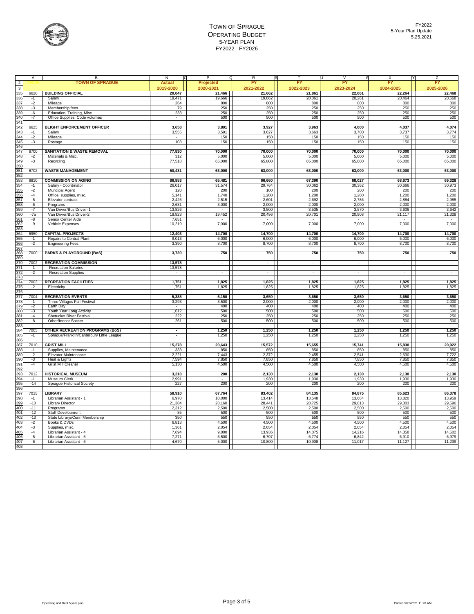

|                         | А              | в                                                        | N                | P<br>a                           | R                             |                                            | v                                        | X                           | Z                |
|-------------------------|----------------|----------------------------------------------------------|------------------|----------------------------------|-------------------------------|--------------------------------------------|------------------------------------------|-----------------------------|------------------|
| $\overline{2}$          |                | <b>TOWN OF SPRAGUE</b>                                   | Actual           | <b>Projected</b>                 | F۱                            | <b>FY</b>                                  | <b>FY</b>                                | F۲                          | FY               |
| $\overline{\mathbf{3}}$ |                |                                                          | 2019-2020        | 2020-2021                        | 2021-2022                     | 2022-2023                                  | 2023-2024                                | 2024-2025                   | 2025-2026        |
| 335                     | 6620           | <b>BUILDING OFFICIAL</b>                                 | 20,047           | 21,466                           | 21,662                        | 21,861                                     | 22,061                                   | 22,264                      | 22,468           |
| 336<br>337              | $-1$<br>$-2$   | Salary                                                   | 19.471<br>264    | 19,666                           | 19,862<br>800                 | 20,061                                     | 20,261<br>800                            | 20,464<br>800               | 20,668<br>800    |
| 338                     | -3             | Mileage<br>Membership fees                               | 79               | 800<br>250                       | 250                           | 800<br>250                                 | 250                                      | 250                         | 250              |
| 33 <sup>c</sup>         | -6             | Education, Training, Misc.                               | 233              | 250                              | 250                           | 250                                        | 250                                      | 250                         | 250              |
| 34C                     | $-7$           | Office Supplies, Code volumes                            |                  | 500                              | 500                           | 500                                        | 500                                      | 500                         | 500              |
| 341                     |                |                                                          |                  |                                  |                               |                                            |                                          |                             |                  |
| 342                     | 6625           | <b>BLIGHT ENFORCEMENT OFFICER</b>                        | 3,658            | 3,891                            | 3,927                         | 3,963                                      | 4,000                                    | 4,037                       | 4,074            |
| 343                     | $-1$           | Salary                                                   | 3,555            | 3,591                            | 3,627                         | 3,663                                      | 3,700                                    | 3,737                       | 3,774            |
| 344<br>345              | $-2$<br>-3     | Mileage<br>Postage                                       | 103              | 150<br>150                       | 150<br>150                    | 150<br>150                                 | 150<br>150                               | 150<br>150                  | 150<br>150       |
| 346                     |                |                                                          |                  |                                  |                               |                                            |                                          |                             |                  |
| 347                     | 6700           | <b>SANITATION &amp; WASTE REMOVAL</b>                    | 77,830           | 70,000                           | 70,000                        | 70,000                                     | 70,000                                   | 70,000                      | 70,000           |
|                         | $-2$           | Materials & Misc.                                        | 312              | 5,000                            | 5,000                         | 5,000                                      | 5,000                                    | 5,000                       | 5,000            |
| 348<br>349              | $-3$           | Recycling                                                | 77,518           | 65,000                           | 65,000                        | 65,000                                     | 65,000                                   | 65,000                      | 65,000           |
| 35 <sub>C</sub>         |                |                                                          |                  |                                  |                               |                                            |                                          |                             |                  |
| 35'                     | 6702           | <b>WASTE MANAGEMENT</b>                                  | 50,431           | 63,000                           | 63,000                        | 63,000                                     | 63,000                                   | 63,000                      | 63,000           |
| 35 <sub>2</sub><br>35   | 6810           | <b>COMMISSION ON AGING</b>                               | 86,853           | 65,481                           | 66,660                        | 67,390                                     | 68,027                                   | 68,673                      | 69,328           |
| 35 <sub>4</sub>         | $-1$           | Salary - Coordinator                                     | 26,017           | 31,574                           | 29,764                        | 30,062                                     | 30,362                                   | 30,666                      | 30,973           |
| 355                     | $-2$           | Muncipal Agent                                           | 120              | 200                              | 100                           | 200                                        | 200                                      | 200                         | 200              |
| 356                     | -4             | Office, supplies, misc.                                  | 5,141            | 1,740                            | 1,200                         | 1,200                                      | 1,200                                    | 1,200                       | 1,200            |
| 357                     | $-5$           | Elevator contract                                        | 2,425            | 2,515                            | 2,601                         | 2,692                                      | 2,786                                    | 2,884                       | 2,985            |
| 358                     | $-6$           | Programs                                                 | 2,631            | 3,000                            | 2,000                         | 2,000                                      | 2,000                                    | 2,000                       | 2,000            |
| 35 <sup>c</sup>         | $-7$           | Van Driver/Bus Driver -1                                 | 13.826           |                                  | 3,500                         | 3.535                                      | 3.570                                    | 3.606                       | 3,642            |
| 360                     | $-7a$          | Van Driver/Bus Driver-2                                  | 18,823           | 19,452                           | 20,496                        | 20,701                                     | 20,908                                   | 21,117                      | 21,328           |
| 36'                     | -8             | Senior Center Aide                                       | 7,651            |                                  |                               | $\sim$                                     | $\overline{\phantom{a}}$                 |                             | $\sim$           |
| 362<br>363              | -9             | Vehicle Expenses                                         | 10,219           | 7,000                            | 7,000                         | 7,000                                      | 7,000                                    | 7,000                       | 7,000            |
| 364                     | 6950           | <b>CAPITAL PROJECTS</b>                                  | 12,403           | 14,700                           | 14,700                        | 14,700                                     | 14,700                                   | 14,700                      | 14,700           |
| 365                     | $-1$           | Repairs to Central Plant                                 | 9,013            | 6,000                            | 6,000                         | 6,000                                      | 6,000                                    | 6,000                       | 6,000            |
| 366                     | $-2$           | <b>Engineering Fees</b>                                  | 3,390            | 8,700                            | 8,700                         | 8,700                                      | 8,700                                    | 8,700                       | 8,700            |
| 367                     |                |                                                          |                  |                                  |                               |                                            |                                          |                             |                  |
| 368                     | 7000           | <b>PARKS &amp; PLAYGROUND (BoS)</b>                      | 3,730            | 750                              | 750                           | 750                                        | 750                                      | 750                         | 750              |
| 369                     |                |                                                          |                  |                                  |                               |                                            |                                          |                             |                  |
| 37C                     | 7002<br>$-1$   | <b>RECREATION COMMISSION</b>                             | 13,578           | $\blacksquare$<br>$\overline{a}$ | $\overline{\phantom{a}}$<br>Ξ | $\overline{\phantom{a}}$<br>$\overline{a}$ | $\mathbf{r}$<br>$\overline{\phantom{a}}$ | $\blacksquare$<br>÷         | $\sim$<br>$\sim$ |
| 371<br>372              | $-2$           | <b>Recreation Salaries</b><br><b>Recreation Supplies</b> | 13,578<br>$\sim$ | $\overline{\phantom{a}}$         | Ξ                             | $\overline{\phantom{a}}$                   | ÷                                        | $\mathcal{L}_{\mathcal{A}}$ | ÷                |
| 373                     |                |                                                          |                  |                                  |                               |                                            |                                          |                             |                  |
| 374                     | 7003           | <b>RECREATION FACILITIES</b>                             | 1,751            | 1,825                            | 1,825                         | 1,825                                      | 1,825                                    | 1,825                       | 1,825            |
| 375                     | $-2$           | Electricity                                              | 1,751            | 1,825                            | 1,825                         | 1,825                                      | 1,825                                    | 1,825                       | 1,825            |
| 376                     |                |                                                          |                  |                                  |                               |                                            |                                          |                             |                  |
| 377                     | 7004           | <b>RECREATION EVENTS</b>                                 | 5,388            | 5,150                            | 3,650                         | 3,650                                      | 3,650                                    | 3,650                       | 3,650            |
| 378                     | $-1$           | Three Villages Fall Festival                             | 3,293            | 3,500                            | 2,000                         | 2,000                                      | 2,000                                    | 2,000                       | 2,000            |
| 379<br>380              | $-2$           | Earth Day                                                | $\sim$           | 400<br>500                       | 400<br>500                    | 400<br>500                                 | 400<br>500                               | 400<br>500                  | 400<br>500       |
| 38 <sup>2</sup>         | $-3$<br>$-4$   | Youth Year Long Activity<br>Shetucket River Festival     | 1,612<br>222     | 250                              | 250                           | 250                                        | 250                                      | 250                         | 250              |
| 382                     | -8             | Other/Indoor Soccer                                      | 261              | 500                              | 500                           | 500                                        | 500                                      | 500                         | 500              |
| 383                     |                |                                                          |                  |                                  |                               |                                            |                                          |                             |                  |
| 384                     | 7005           | <b>OTHER RECREATION PROGRAMS (BoS)</b>                   | $\sim$           | 1,250                            | 1,250                         | 1,250                                      | 1,250                                    | 1,250                       | 1,250            |
| 385                     | $-1$           | Sprague/Franklin/Canterbury Little League                |                  | 1,250                            | 1,250                         | 1,250                                      | 1,250                                    | 1,250                       | 1,250            |
| 386                     |                |                                                          |                  |                                  |                               |                                            |                                          |                             |                  |
| 387                     | 7010           | <b>GRIST MILL</b>                                        | 15,278           | 20,643                           | 15,572                        | 15,655                                     | 15,741                                   | 15,830                      | 20,922           |
| 388                     | $-1$           | Supplies, Maintenance                                    | 333              | 850                              | 850                           | 850                                        | 850                                      | 850                         | 850              |
| 389<br>390              | $-2$<br>$-3$   | Elevator Maintenance<br>Heat & Lights                    | 2,221<br>7,594   | 7,443<br>7,850                   | 2,372<br>7,850                | 2,455<br>7,850                             | 2,541<br>7,850                           | 2,630<br>7,850              | 7,722<br>7,850   |
| 391                     | -4             | <b>Grist Mill Cleaner</b>                                | 5,130            | 4,500                            | 4,500                         | 4,500                                      | 4,500                                    | 4,500                       | 4,500            |
| 392                     |                |                                                          |                  |                                  |                               |                                            |                                          |                             |                  |
| 393<br>394              | 7012           | <b>HISTORICAL MUSEUM</b>                                 | 3,218            | 200                              | 2,130                         | 2,130                                      | 2,130                                    | 2,130                       | 2,130            |
|                         | $-1$           | Museum Clerk                                             | 2.991            |                                  | 1.930                         | 1.930                                      | 1.930                                    | 1.930                       | 1.930            |
| 395                     | $-14$          | Sprague Historical Society                               | 227              | 200                              | 200                           | 200                                        | 200                                      | 200                         | 200              |
| 396                     |                |                                                          |                  |                                  |                               |                                            |                                          |                             |                  |
| 397                     | 7015           | <b>LIBRARY</b>                                           | 58,910           | 67,764                           | 83,402                        | 84,135                                     | 84,875                                   | 85,623                      | 86,378           |
| 398                     | $-1$           | Librarian Assistant - 1                                  | 6,970            | 10,000                           | 13,414                        | 13,548                                     | 13,684                                   | 13,820<br>29,303            | 13,959           |
| 399<br>400              | $-10$<br>$-11$ | <b>Library Director</b><br>Programs                      | 21,384<br>2,312  | 28,160<br>2,500                  | 28,441<br>2,500               | 28,725<br>2,500                            | 29,013<br>2,500                          | 2,500                       | 29,596<br>2,500  |
| 401                     | $-12$          | Staff Development                                        | 85               | 500                              | 500                           | 500                                        | 500                                      | 500                         | 500              |
| 402                     | $-13$          | State Library/iConn Membership                           | 350              | 550                              | 550                           | 550                                        | 550                                      | 550                         | 550              |
| 403                     | $-2$           | Books & DVDs                                             | 6,813            | 4,500                            | 4,500                         | 4,500                                      | 4,500                                    | 4,500                       | 4,500            |
| 404                     | $-3$           | Supplies, misc.                                          | 1,361            | 2,054                            | 2,054                         | 2,054                                      | 2,054                                    | 2,054                       | 2,054            |
| 405                     | -4             | Librarian Assistant - 4                                  | 7,694            | 9,000                            | 13,936                        | 14,075                                     | 14,216                                   | 14,358                      | 14,502           |
| 406                     | $-5$           | Librarian Assistant - 5                                  | 7,271            | 5,500                            | 6,707                         | 6,774                                      | 6,842                                    | 6,910                       | 6,979            |
| 407<br>408              | $-6$           | Librarian Assistant - 6                                  | 4,670            | 5,000                            | 10,800                        | 10,908                                     | 11,017                                   | 11,127                      | 11,239           |
|                         |                |                                                          |                  |                                  |                               |                                            |                                          |                             |                  |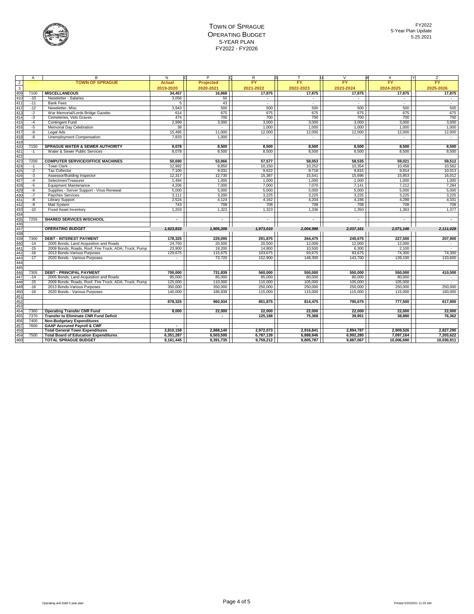

|                                        | А     | B                                                     | N              |                          | R                        |                          |                | X              | Z          |
|----------------------------------------|-------|-------------------------------------------------------|----------------|--------------------------|--------------------------|--------------------------|----------------|----------------|------------|
| $\overline{2}$                         |       | <b>TOWN OF SPRAGUE</b>                                | <b>Actual</b>  | <b>Projected</b>         | <b>FY</b>                | <b>FY</b>                | <b>FY</b>      | <b>FY</b>      | <b>FY</b>  |
| $\overline{\mathbf{3}}$                |       |                                                       | 2019-2020      | 2020-2021                | 2021-2022                | 2022-2023                | 2023-2024      | 2024-2025      | 2025-2026  |
| 409                                    | 7100  | <b>MISCELLANEOUS</b>                                  | 34,457         | 16,968                   | 17,875                   | 17,875                   | 17,875         | 17.875         | 17,875     |
|                                        | $-10$ | Newsletter - Salaries                                 | 3,056          | 50                       | $\overline{\phantom{a}}$ | $\overline{\phantom{a}}$ | $\sim$         | $\sim$         | $\sim$     |
| 410<br>411                             | $-11$ | <b>Bank Fees</b>                                      | 5              | 43                       | $\sim$                   |                          | $\sim$         |                | $\sim$     |
| 412                                    | $-12$ | Newsletter-Misc.                                      | 3,943          | 500                      | 500                      | 500                      | 500            | 500            | 500        |
| 413                                    | $-2$  | War Memorial/Lords Bridge Gazebo                      | 614            | 675                      | 675                      | 675                      | 675            | 675            | 675        |
| 414                                    | $-3$  | Cemeteries, Vets Graves                               | 474            | 700                      | 700                      | 700                      | 700            | 700            | 700        |
| $\frac{415}{416}$                      | $-4$  | Contingent Fund                                       | 2.999          | 3.000                    | 3.000                    | 3.000                    | 3.000          | 3.000          | 3,000      |
|                                        | $-5$  | Memorial Day Celebration                              | 38             | $\sim$                   | 1.000                    | 1.000                    | 1.000          | 1.000          | 1,000      |
| 417                                    | -6    | Legal Ads                                             | 15,495         | 11,000                   | 12,000                   | 12,000                   | 12,000         | 12,000         | 12,000     |
|                                        | -8    | Unemployment Compensation                             | 7,833          | 1,000                    |                          |                          |                |                | $\sim$     |
| $\frac{418}{419}$                      |       |                                                       |                |                          |                          |                          |                |                |            |
| 420                                    | 7150  | <b>SPRAGUE WATER &amp; SEWER AUTHORITY</b>            | 8,078          | 8,500                    | 8,500                    | 8,500                    | 8.500          | 8.500          | 8,500      |
| 421<br>422                             | $-1$  | Water & Sewer Public Services                         | 8,078          | 8,500                    | 8,500                    | 8,500                    | 8,500          | 8,500          | 8,500      |
|                                        |       |                                                       |                |                          |                          |                          |                |                |            |
| 423                                    | 7200  | <b>COMPUTER SERVICE/OFFICE MACHINES</b>               | 50,690         | 53,966                   | 57,577                   | 58,053                   | 58,535         | 59,021         | 59,512     |
| 424                                    | $-1$  | <b>Town Clerk</b>                                     | 12,992         | 9.850                    | 10.150                   | 10.252                   | 10.354         | 10.458         | 10,562     |
| 425<br>426                             | $-2$  | <b>Tax Collector</b>                                  | 7.100          | 9,031                    | 9,622                    | 9.718                    | 9.815          | 9.914          | 10,013     |
|                                        | $-3$  | Assessor/Building Inspector                           | 12,317         | 12,730                   | 15,387                   | 15,541                   | 15,696         | 15,853         | 16,012     |
| 427                                    | $-4$  | Selectmen/Treasurer                                   | 1.494          | 1.000                    | 1,000                    | 1.000                    | 1,000          | 1.000          | 1,000      |
| 428<br>429                             | $-5$  | <b>Equipment Maintenance</b>                          | 4,206          | 7,000                    | 7,000                    | 7,070                    | 7,141          | 7,212          | 7,284      |
|                                        | $-6$  | Supplies - Server Support - Virus Renewal             | 5,000          | 5.000                    | 5.000                    | 5.000                    | 5.000          | 5.000          | 5,000      |
| 43 <sup>°</sup>                        | $-7$  | <b>Paychex Services</b>                               | 3.111          | 3.200                    | 3,225                    | 3,225                    | 3.225          | 3.225          | 3,225      |
|                                        | -8    | <b>Library Support</b>                                | 2,524          | 4,124                    | 4,162                    | 4,204                    | 4.246          | 4,288          | 4,331      |
|                                        | -9    | <b>Mail System</b>                                    | 743            | 708                      | 708                      | 708                      | 708            | 708            | 708        |
|                                        | $-10$ | <b>Fixed Asset Inventory</b>                          | 1,203          | 1,323                    | 1,323                    | 1,336                    | 1,350          | 1,363          | 1,377      |
|                                        |       |                                                       |                |                          |                          |                          |                |                |            |
|                                        | 7255  | <b>SHARED SERVICES W/SCHOOL</b>                       | $\blacksquare$ | $\overline{\phantom{a}}$ | $\overline{\phantom{a}}$ | $\blacksquare$           | $\blacksquare$ | $\blacksquare$ | $\sim$     |
| 431<br>432<br>433<br>434<br>435<br>436 |       |                                                       |                |                          |                          |                          |                |                |            |
|                                        |       | <b>OPERATING BUDGET</b>                               | 1,923,833      | 1.905.206                | 1,973,010                | 2,004,998                | 2,037,161      | 2,071,146      | 2,111,028  |
| 437<br>438                             |       |                                                       |                |                          |                          |                          |                |                |            |
| 439                                    | 7300  | <b>DEBT - INTEREST PAYMENT</b>                        | 178,325        | 229.095                  | 291.875                  | 264.475                  | 245.675        | 227.500        | 207,900    |
| 440                                    | $-14$ | 2005 Bonds; Land Acquisition and Roads                | 24,750         | 20,500                   | 20,500                   | 12,000                   | 12,000         | 12,000         | $\sim$     |
| $\frac{441}{442}$                      | $-15$ | 2009 Bonds; Roads, Roof, Fire Truck; ADA; Truck; Pump | 23,900         | 19.200                   | 14,800                   | 10,500                   | 6.300          | 2.100          | $\sim$     |
|                                        | $-16$ | 2013 Bonds-Various Purposes                           | 129,675        | 115,675                  | 103,675                  | 93,675                   | 83,675         | 74,300         | 74,300     |
|                                        | $-17$ | 2020 Bonds - Various Purposes                         | ٠              | 73,720                   | 152,900                  | 148,300                  | 143,700        | 139,100        | 133,600    |
| $\frac{443}{444}$                      |       |                                                       |                |                          |                          |                          |                |                |            |
|                                        |       |                                                       |                |                          |                          |                          |                |                |            |
| 446                                    | 7305  | <b>DEBT - PRINCIPAL PAYMENT</b>                       | 700,000        | 731,839                  | 560.000                  | 550.000                  | 550.000        | 550.000        | 410,000    |
| 44                                     | $-14$ | 2005 Bonds; Land Acquisition and Roads                | 85,000         | 85,000                   | 85,000                   | 80,000                   | 80,000         | 80,000         | $\sim$     |
| 448                                    | $-15$ | 2009 Bonds; Roads, Roof, Fire Truck; ADA; Truck; Pump | 125,000        | 110,000                  | 110,000                  | 105,000                  | 105.000        | 105,000        |            |
|                                        | $-16$ | 2013 Bonds-Various Purposes                           | 350,000        | 350,000                  | 250,000                  | 250,000                  | 250,000        | 250,000        | 250,000    |
|                                        | $-16$ | 2020 Bonds - Various Purposes                         | 140,000        | 186,839                  | 115,000                  | 115,000                  | 115,000        | 115,000        | 160,000    |
|                                        |       |                                                       |                |                          |                          |                          |                |                |            |
|                                        |       |                                                       | 878,325        | 960.934                  | 851,875                  | 814,475                  | 795,675        | 777.500        | 617,900    |
| 449<br>450<br>451<br>452<br>453        |       |                                                       |                |                          |                          |                          |                |                |            |
| $\frac{454}{455}$                      | 7360  | <b>Operating Transfer CNR Fund</b>                    | 8,000          | 22,000                   | 22,000                   | 22,000                   | 22,000         | 22,000         | 22,000     |
|                                        | 7370  | <b>Transfer to Eliminate CNR Fund Deficit</b>         |                | $\blacksquare$           | 125,188                  | 75,368                   | 39,951         | 38,880         | 76,362     |
|                                        | 7400  | <b>Non-Budgetary Expenditures</b>                     |                |                          |                          |                          |                |                |            |
| 457<br>458                             | 7600  | <b>GAAP Accrured Payroll &amp; CWF</b>                | $\blacksquare$ |                          |                          |                          |                |                |            |
|                                        |       | <b>Total General Town Expenditures</b>                | 2.810.158      | 2.888.140                | 2,972,073                | 2,916,841                | 2.894.787      | 2,909,526      | 2,827,290  |
| 459                                    | 7500  | <b>Total Board of Education Expenditures</b>          | 6,351,287      | 6.503.595                | 6,787,139                | 6,888,946                | 6,992,280      | 7,097,164      | 7,203,622  |
| 460                                    |       | <b>TOTAL SPRAGUE BUDGET</b>                           | 9,161,445      | 9,391,735                | 9,759,212                | 9,805,787                | 9,887,067      | 10,006,690     | 10,030,911 |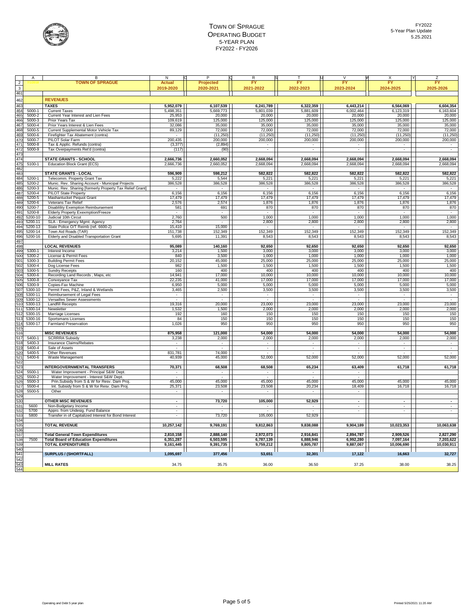

|                         |                    | R                                                                                          | N                        | P                        | R                           | т                        | v                        | $\boldsymbol{\mathsf{x}}$ | $\overline{z}$           |
|-------------------------|--------------------|--------------------------------------------------------------------------------------------|--------------------------|--------------------------|-----------------------------|--------------------------|--------------------------|---------------------------|--------------------------|
| $\overline{2}$          |                    | <b>TOWN OF SPRAGUE</b>                                                                     | <b>Actual</b>            | <b>Projected</b>         | <b>FY</b>                   | <b>FY</b>                | FY                       | <b>FY</b>                 | <b>FY</b>                |
| $\overline{\mathbf{3}}$ |                    |                                                                                            | 2019-2020                | 2020-2021                | 2021-2022                   | 2022-2023                | 2023-2024                | 2024-2025                 | 2025-2026                |
| 461                     |                    |                                                                                            |                          |                          |                             |                          |                          |                           |                          |
| 462                     |                    | <b>REVENUES</b>                                                                            |                          |                          |                             |                          |                          |                           |                          |
| 463                     |                    | <b>TAXES</b>                                                                               | 5,952,079                | 6,107,539                | 6,241,789                   | 6,322,359                | 6,443,214                | 6,564,069                 | 6,604,354                |
| 464                     | $5000-1$           | <b>Current Taxes</b>                                                                       | 5,498,351                | 5,669,773                | 5.801.039                   | 5,881,609                | 6,002,464                | 6,123,319                 | 6,163,604                |
| 465                     | 5000-2             | Current Year Interest and Lien Fees                                                        | 25,953                   | 20,000                   | 20,000                      | 20,000                   | 20,000                   | 20,000                    | 20,000                   |
| 466                     | 5000-3             | Prior Years Tax                                                                            | 109,619                  | 125,000                  | 125,000                     | 125,000                  | 125,000                  | 125,000                   | 125,000                  |
| 467<br>468<br>469       | 5000-4             | Prior Years Interest & Lien Fees                                                           | 32.086                   | 35,000                   | 35,000                      | 35,000                   | 35,000                   | 35,000                    | 35,000                   |
|                         | 5000-5             | Current Supplemental Motor Vehicle Tax                                                     | 89,129                   | 72,000                   | 72,000                      | 72,000                   | 72,000                   | 72,000                    | 72,000                   |
|                         | $5000 - 6$         | Firefighter Tax Abatement (contra)                                                         | $\sim$                   | (11,250)                 | (11, 250)                   | (11,250)                 | (11, 250)                | (11,250)                  | (11, 250)                |
| 470                     | 5000-7             | PILOT Solar Farm                                                                           | 200,435                  | 200,000                  | 200,000                     | 200,000                  | 200,000                  | 200,000                   | 200,000                  |
| 471                     | 5000-8             | Tax & Applic. Refunds (contra)                                                             | (3, 377)                 | (2,894)                  |                             |                          |                          |                           |                          |
| 472                     | 5000-9             | Tax Overpayments Ret'd (contra)                                                            | (117)                    | (90)                     | $\overline{a}$              | ÷,                       | $\overline{\phantom{a}}$ | $\overline{\phantom{a}}$  | $\sim$                   |
| 47<br>474               |                    | <b>STATE GRANTS - SCHOOL</b>                                                               | 2,666,736                | 2,660,052                | 2,668,094                   | 2,668,094                | 2,668,094                | 2,668,094                 | 2,668,094                |
| 475                     | 5100-1             | <b>Education Block Grant (ECS)</b>                                                         | 2,666,736                | 2,660,052                | 2,668,094                   | 2,668,094                | 2,668,094                | 2,668,094                 | 2,668,094                |
| 482                     |                    |                                                                                            |                          |                          |                             |                          |                          |                           |                          |
| 483                     |                    | <b>STATE GRANTS - LOCAL</b>                                                                | 596,909                  | 598,212                  | 582,822                     | 582,822                  | 582,822                  | 582,822                   | 582,822                  |
| 484                     | 5200-1             | Telecomm. Property Grant Tax                                                               | 5.222                    | 5,544                    | 5.221                       | 5,221                    | 5.221                    | 5,221                     | 5,221                    |
|                         | 5200-2             | Munic. Rev. Sharing Account - Municipal Projects                                           | 386,528                  | 386,528                  | 386,528                     | 386,528                  | 386,528                  | 386,528                   | 386,528                  |
| 485<br>486              | 5200-3             | Munic. Rev. Sharing [formerly Property Tax Relief Grant]                                   | $\sim$                   | $\sim$                   | $\overline{\phantom{a}}$    | $\sim$                   | $\sim$                   | $\sim$                    | $\sim$                   |
| 487<br>488              | 5200-4             | PILOT State Property                                                                       | 6.156                    | 6,156                    | 6.156                       | 6,156                    | 6.156                    | 6.156                     | 6.156                    |
|                         | 5200-5             | Mashantucket Pequot Grant                                                                  | 17,479                   | 17,479                   | 17,479                      | 17,479                   | 17,479                   | 17,479                    | 17,479                   |
| 489                     | 5200-6             | Veterans Tax Relief                                                                        | 2,576                    | 2,574                    | 1,876                       | 1,876                    | 1,876                    | 1,876                     | 1,876                    |
| 490<br>491              | 5200-7             | Disablility Exemption Reimbursement                                                        | 581                      | 691                      | 870                         | 870                      | 870                      | 870                       | 870                      |
|                         | 5200-8             | Elderly Property Exexmption/Freeze                                                         |                          |                          | $\mathcal{L}_{\mathcal{A}}$ | ÷                        |                          |                           | ÷                        |
| 492                     | 5200-10            | Judicial 10th Circut                                                                       | 2,760                    | 500                      | 1,000                       | 1,000                    | 1,000                    | 1,000                     | 1,000                    |
| 493                     | 5200-11            | SLA - Emergency Mgmt. Agency                                                               | 2,764                    |                          | 2,800                       | 2,800                    | 2,800                    | 2,800                     | 2,800                    |
| 494                     | 5200-13            | State Police O/T Reimb (ref. 6600-2)                                                       | 15,410                   | 15,000                   |                             |                          |                          |                           |                          |
| 495                     | 5200-14            | Town Aid Roads (TAR)                                                                       | 151,738                  | 152,349                  | 152,349                     | 152,349                  | 152,349                  | 152,349                   | 152,349                  |
| 496<br>497              | 5200-16            | Elderly and Disabled Transportation Grant                                                  | 5,695                    | 11,391                   | 8,543                       | 8,543                    | 8,543                    | 8,543                     | 8,543                    |
|                         |                    | <b>LOCAL REVENUES</b>                                                                      | 95,089                   | 140,160                  | 92.650                      | 92,650                   | 92.650                   | 92,650                    | 92,650                   |
| 498<br>499              | 5300-1             | Interest Income                                                                            | 3,214                    | 1,500                    | 3,000                       | 3,000                    | 3,000                    | 3,000                     | 3,000                    |
| 500                     | 5300-2             | License & Permit Fees                                                                      | 840                      | 3,500                    | 1,000                       | 1,000                    | 1,000                    | 1,000                     | 1,000                    |
| 501                     | 5300-3             | <b>Building Permit Fees</b>                                                                | 20.152                   | 45,000                   | 25,000                      | 25.000                   | 25,000                   | 25,000                    | 25,000                   |
| 502                     | 5300-4             | Dog License Fees                                                                           | 982                      | 1,500                    | 1,500                       | 1,500                    | 1,500                    | 1,500                     | 1,500                    |
| 503                     | 5300-5             | Sundry Receipts                                                                            | 160                      | 400                      | 400                         | 400                      | 400                      | 400                       | 400                      |
| 504                     | 5300-6             | Recording Land Records, Maps, etc                                                          | 14.941                   | 17,000                   | 10,000                      | 10.000                   | 10.000                   | 10,000                    | 10.000                   |
| 505                     | 5300-8             | Conveyance Tax                                                                             | 22,235                   | 41,000                   | 17,000                      | 17,000                   | 17,000                   | 17,000                    | 17,000                   |
| 506                     | 5300-9             | Copies-Fax Machine                                                                         | 6,950                    | 5,000                    | 5,000                       | 5,000                    | 5,000                    | 5,000                     | 5,000                    |
| 507                     | 5300-10            | Permit Fees, P&Z, Inland & Wetlands                                                        | 3,465                    | 2,500                    | 3,500                       | 3,500                    | 3,500                    | 3,500                     | 3,500                    |
| 508                     | 5300-11            | Reimbursement of Legal Fees                                                                | $\overline{\phantom{a}}$ | $\blacksquare$           | $\overline{\phantom{a}}$    | $\overline{\phantom{a}}$ |                          | $\overline{\phantom{a}}$  | $\overline{\phantom{a}}$ |
| 509                     | 5300-12            | Versailles Sewer Assessments                                                               | $\sim$                   | $\sim$                   | $\overline{\phantom{a}}$    | $\overline{\phantom{a}}$ | $\sim$                   | $\sim$                    | $\sim$                   |
| 51                      | 5300-13            | <b>Landfill Receipts</b>                                                                   | 19,316                   | 20,000                   | 23,000                      | 23,000                   | 23,000                   | 23,000                    | 23,000                   |
| 512                     | 5300-14<br>5300-15 | Newsletter                                                                                 | 1,532<br>192             | 1,500<br>160             | 2,000<br>150                | 2,000<br>150             | 2,000<br>150             | 2,000<br>150              | 2,000                    |
|                         | 5300-16            | Marriage Licenses<br>Sportsmans Licenses                                                   | 84                       | 150                      | 150                         | 150                      | 150                      | 150                       | 150<br>150               |
|                         | 5300-17            | Farmland Preservation                                                                      | 1,026                    | 950                      | 950                         | 950                      | 950                      | 950                       | 950                      |
|                         |                    |                                                                                            |                          |                          |                             |                          |                          |                           |                          |
|                         |                    | <b>MISC REVENUES</b>                                                                       | 875,958                  | 121,000                  | 54,000                      | 54,000                   | 54,000                   | 54,000                    | 54,000                   |
| 517                     | 5400-1             | <b>SCRRRA Subsidy</b>                                                                      | 3,238                    | 2,000                    | 2,000                       | 2,000                    | 2,000                    | 2,000                     | 2,000                    |
| 518                     | 5400-3             | Insurance Claims/Rebates                                                                   |                          |                          |                             | $\sim$                   |                          |                           |                          |
| 519                     | 5400-4             | Sale of Assets                                                                             | $\sim$                   | $\sim$                   | $\sim$                      | $\sim$                   | $\sim$                   | $\sim$                    | $\sim$                   |
| 520                     | 5400-5             | Other Revenues                                                                             | 831,781                  | 74,000                   | $\overline{\phantom{a}}$    | $\sim$                   | $\sim$                   | $\sim$                    | $\sim$                   |
|                         | 5400-6             | Waste Management                                                                           | 40,939                   | 45,000                   | 52,000                      | 52,000                   | 52,000                   | 52,000                    | 52,000                   |
|                         |                    |                                                                                            |                          |                          |                             |                          |                          |                           |                          |
| 52                      |                    | <b>INTERGOVERNMENTAL TRANSFERS</b>                                                         | 70,371                   | 68,508                   | 68,508                      | 65,234                   | 63,409                   | 61,718                    | 61,718                   |
|                         | 5500-1             | Water Improvement - Principal S&W Dept.                                                    |                          |                          |                             | ÷                        |                          |                           |                          |
| 525                     | 5500-2<br>5500-3   | Water Improvement - Interest S&W Dept.                                                     | 45,000                   |                          | 45.000                      |                          |                          |                           | 45,000                   |
| 52(                     | 5500-4             | Prin.Subsidy from S & W for Resv. Dam Proj.<br>Int. Subsidy from S & W for Resv. Dam Proj. | 25,371                   | 45,000<br>23,508         | 23,508                      | 45,000<br>20,234         | 45,000<br>18,409         | 45,000<br>16,718          | 16,718                   |
| 52                      | 5500-5             | Other                                                                                      | ٠                        | $\sim$                   |                             | $\overline{\phantom{a}}$ | $\overline{\phantom{a}}$ |                           |                          |
| 529                     |                    |                                                                                            |                          |                          |                             |                          |                          |                           |                          |
| 53                      |                    | OTHER MISC REVENUES                                                                        | $\sim$                   | 73,720                   | 105,000                     | 52,929                   | $\sim$                   | $\sim$                    | $\sim$                   |
| 531                     | 5600               | Non-Budgetary Income                                                                       | $\overline{\phantom{a}}$ | $\overline{\phantom{a}}$ |                             |                          | $\overline{\phantom{a}}$ | $\overline{\phantom{a}}$  | $\sim$                   |
|                         | 5700               | Appro. from Undesig. Fund Balance                                                          |                          |                          |                             |                          |                          |                           | $\sim$                   |
| 533                     | 5800               | Transfer in of Capitalized Interest for Bond Interest                                      |                          | 73,720                   | 105,000                     | 52,929                   |                          |                           |                          |
| 534                     |                    |                                                                                            |                          |                          |                             |                          |                          |                           |                          |
| 535                     |                    | <b>TOTAL REVENUE</b>                                                                       | 10,257,142               | 9,769,191                | 9,812,863                   | 9,838,088                | 9,904,189                | 10,023,353                | 10,063,638               |
| 536                     |                    |                                                                                            |                          |                          |                             |                          |                          |                           |                          |
| 537                     |                    | <b>Total General Town Expenditures</b>                                                     | 2,810,158                | 2,888,140                | 2,972,073                   | 2,916,841                | 2,894,787                | 2,909,526                 | 2,827,290                |
|                         | 7500               | <b>Total Board of Education Expenditures</b>                                               | 6,351,287                | 6,503,595                | 6,787,139                   | 6,888,946                | 6,992,280                | 7,097,164                 | 7,203,622                |
| 539                     |                    | <b>TOTAL EXPENDITURES</b>                                                                  | 9,161,445                | 9,391,735                | 9,759,212                   | 9,805,787                | 9.887.067                | 10,006,690                | 10,030,911               |
| 540<br>541              |                    | <b>SURPLUS / (SHORTFALL)</b>                                                               | 1,095,697                | 377,456                  | 53,651                      | 32,301                   | 17,122                   | 16,663                    | 32,727                   |
| 542                     |                    |                                                                                            |                          |                          |                             |                          |                          |                           |                          |
| 543                     |                    | <b>MILL RATES</b>                                                                          | 34.75                    | 35.75                    | 36.00                       | 36.50                    | 37.25                    | 38.00                     | 38.25                    |
| 544                     |                    |                                                                                            |                          |                          |                             |                          |                          |                           |                          |